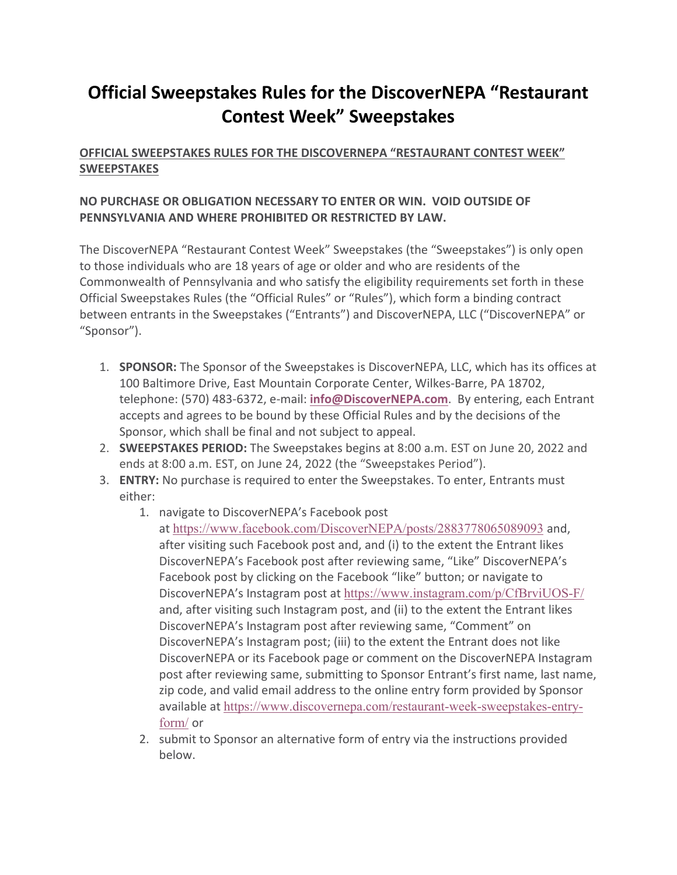# **Official Sweepstakes Rules for the DiscoverNEPA "Restaurant Contest Week" Sweepstakes**

## **OFFICIAL SWEEPSTAKES RULES FOR THE DISCOVERNEPA "RESTAURANT CONTEST WEEK" SWEEPSTAKES**

### **NO PURCHASE OR OBLIGATION NECESSARY TO ENTER OR WIN. VOID OUTSIDE OF PENNSYLVANIA AND WHERE PROHIBITED OR RESTRICTED BY LAW.**

The DiscoverNEPA "Restaurant Contest Week" Sweepstakes (the "Sweepstakes") is only open to those individuals who are 18 years of age or older and who are residents of the Commonwealth of Pennsylvania and who satisfy the eligibility requirements set forth in these Official Sweepstakes Rules (the "Official Rules" or "Rules"), which form a binding contract between entrants in the Sweepstakes ("Entrants") and DiscoverNEPA, LLC ("DiscoverNEPA" or "Sponsor").

- 1. **SPONSOR:** The Sponsor of the Sweepstakes is DiscoverNEPA, LLC, which has its offices at 100 Baltimore Drive, East Mountain Corporate Center, Wilkes-Barre, PA 18702, telephone: (570) 483-6372, e-mail: **info@DiscoverNEPA.com**. By entering, each Entrant accepts and agrees to be bound by these Official Rules and by the decisions of the Sponsor, which shall be final and not subject to appeal.
- 2. **SWEEPSTAKES PERIOD:** The Sweepstakes begins at 8:00 a.m. EST on June 20, 2022 and ends at 8:00 a.m. EST, on June 24, 2022 (the "Sweepstakes Period").
- 3. **ENTRY:** No purchase is required to enter the Sweepstakes. To enter, Entrants must either:
	- 1. navigate to DiscoverNEPA's Facebook post at https://www.facebook.com/DiscoverNEPA/posts/2883778065089093 and, after visiting such Facebook post and, and (i) to the extent the Entrant likes DiscoverNEPA's Facebook post after reviewing same, "Like" DiscoverNEPA's Facebook post by clicking on the Facebook "like" button; or navigate to DiscoverNEPA's Instagram post at https://www.instagram.com/p/CfBrviUOS-F/ and, after visiting such Instagram post, and (ii) to the extent the Entrant likes DiscoverNEPA's Instagram post after reviewing same, "Comment" on DiscoverNEPA's Instagram post; (iii) to the extent the Entrant does not like DiscoverNEPA or its Facebook page or comment on the DiscoverNEPA Instagram post after reviewing same, submitting to Sponsor Entrant's first name, last name, zip code, and valid email address to the online entry form provided by Sponsor available at https://www.discovernepa.com/restaurant-week-sweepstakes-entryform/ or
	- 2. submit to Sponsor an alternative form of entry via the instructions provided below.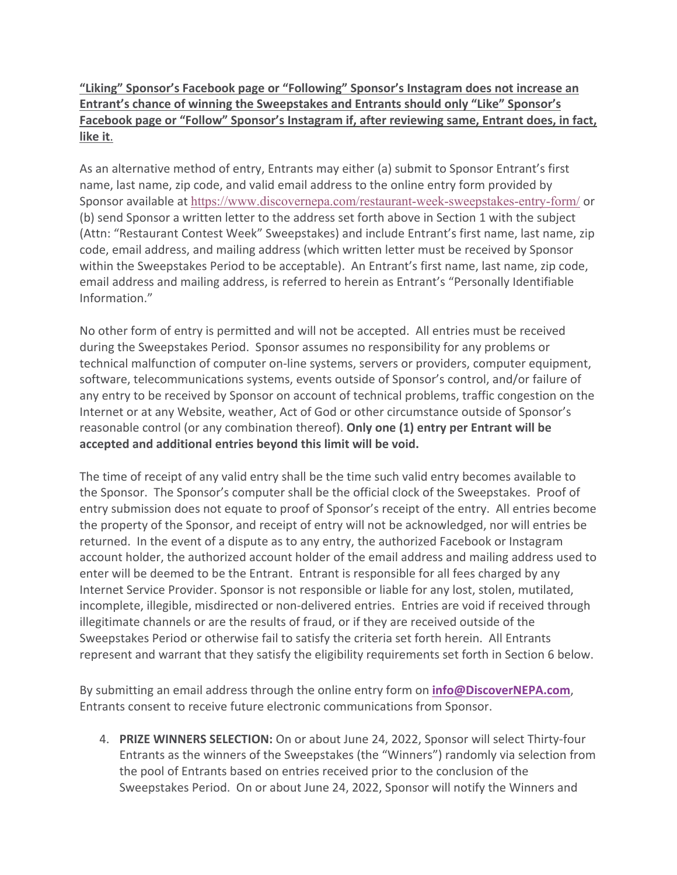**"Liking" Sponsor's Facebook page or "Following" Sponsor's Instagram does not increase an Entrant's chance of winning the Sweepstakes and Entrants should only "Like" Sponsor's Facebook page or "Follow" Sponsor's Instagram if, after reviewing same, Entrant does, in fact, like it**.

As an alternative method of entry, Entrants may either (a) submit to Sponsor Entrant's first name, last name, zip code, and valid email address to the online entry form provided by Sponsor available at https://www.discovernepa.com/restaurant-week-sweepstakes-entry-form/ or (b) send Sponsor a written letter to the address set forth above in Section 1 with the subject (Attn: "Restaurant Contest Week" Sweepstakes) and include Entrant's first name, last name, zip code, email address, and mailing address (which written letter must be received by Sponsor within the Sweepstakes Period to be acceptable). An Entrant's first name, last name, zip code, email address and mailing address, is referred to herein as Entrant's "Personally Identifiable Information."

No other form of entry is permitted and will not be accepted. All entries must be received during the Sweepstakes Period. Sponsor assumes no responsibility for any problems or technical malfunction of computer on-line systems, servers or providers, computer equipment, software, telecommunications systems, events outside of Sponsor's control, and/or failure of any entry to be received by Sponsor on account of technical problems, traffic congestion on the Internet or at any Website, weather, Act of God or other circumstance outside of Sponsor's reasonable control (or any combination thereof). **Only one (1) entry per Entrant will be accepted and additional entries beyond this limit will be void.**

The time of receipt of any valid entry shall be the time such valid entry becomes available to the Sponsor. The Sponsor's computer shall be the official clock of the Sweepstakes. Proof of entry submission does not equate to proof of Sponsor's receipt of the entry. All entries become the property of the Sponsor, and receipt of entry will not be acknowledged, nor will entries be returned. In the event of a dispute as to any entry, the authorized Facebook or Instagram account holder, the authorized account holder of the email address and mailing address used to enter will be deemed to be the Entrant. Entrant is responsible for all fees charged by any Internet Service Provider. Sponsor is not responsible or liable for any lost, stolen, mutilated, incomplete, illegible, misdirected or non-delivered entries. Entries are void if received through illegitimate channels or are the results of fraud, or if they are received outside of the Sweepstakes Period or otherwise fail to satisfy the criteria set forth herein. All Entrants represent and warrant that they satisfy the eligibility requirements set forth in Section 6 below.

By submitting an email address through the online entry form on **info@DiscoverNEPA.com**, Entrants consent to receive future electronic communications from Sponsor.

4. **PRIZE WINNERS SELECTION:** On or about June 24, 2022, Sponsor will select Thirty-four Entrants as the winners of the Sweepstakes (the "Winners") randomly via selection from the pool of Entrants based on entries received prior to the conclusion of the Sweepstakes Period. On or about June 24, 2022, Sponsor will notify the Winners and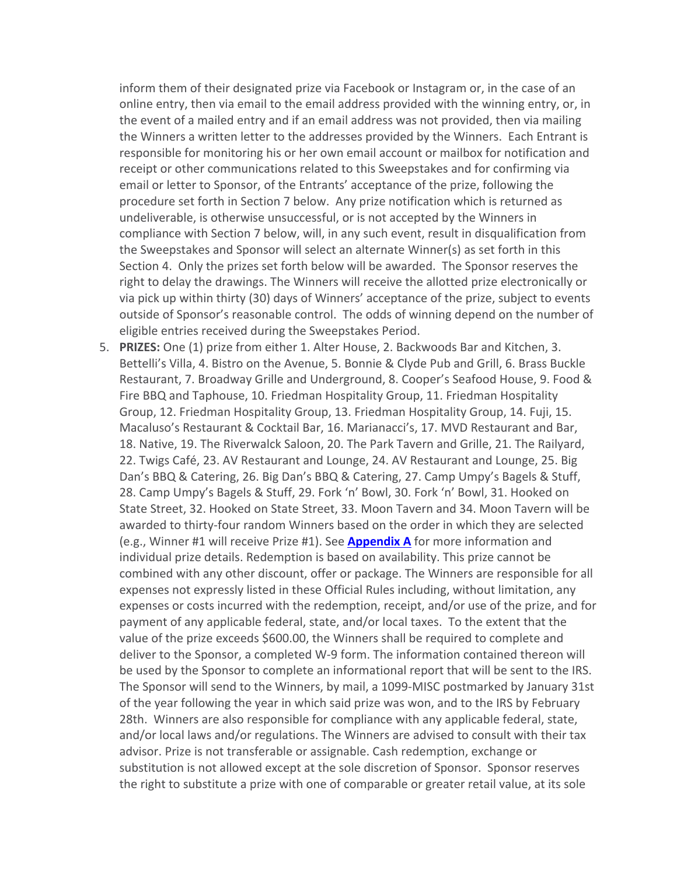inform them of their designated prize via Facebook or Instagram or, in the case of an online entry, then via email to the email address provided with the winning entry, or, in the event of a mailed entry and if an email address was not provided, then via mailing the Winners a written letter to the addresses provided by the Winners. Each Entrant is responsible for monitoring his or her own email account or mailbox for notification and receipt or other communications related to this Sweepstakes and for confirming via email or letter to Sponsor, of the Entrants' acceptance of the prize, following the procedure set forth in Section 7 below. Any prize notification which is returned as undeliverable, is otherwise unsuccessful, or is not accepted by the Winners in compliance with Section 7 below, will, in any such event, result in disqualification from the Sweepstakes and Sponsor will select an alternate Winner(s) as set forth in this Section 4. Only the prizes set forth below will be awarded. The Sponsor reserves the right to delay the drawings. The Winners will receive the allotted prize electronically or via pick up within thirty (30) days of Winners' acceptance of the prize, subject to events outside of Sponsor's reasonable control. The odds of winning depend on the number of eligible entries received during the Sweepstakes Period.

5. **PRIZES:** One (1) prize from either 1. Alter House, 2. Backwoods Bar and Kitchen, 3. Bettelli's Villa, 4. Bistro on the Avenue, 5. Bonnie & Clyde Pub and Grill, 6. Brass Buckle Restaurant, 7. Broadway Grille and Underground, 8. Cooper's Seafood House, 9. Food & Fire BBQ and Taphouse, 10. Friedman Hospitality Group, 11. Friedman Hospitality Group, 12. Friedman Hospitality Group, 13. Friedman Hospitality Group, 14. Fuji, 15. Macaluso's Restaurant & Cocktail Bar, 16. Marianacci's, 17. MVD Restaurant and Bar, 18. Native, 19. The Riverwalck Saloon, 20. The Park Tavern and Grille, 21. The Railyard, 22. Twigs Café, 23. AV Restaurant and Lounge, 24. AV Restaurant and Lounge, 25. Big Dan's BBQ & Catering, 26. Big Dan's BBQ & Catering, 27. Camp Umpy's Bagels & Stuff, 28. Camp Umpy's Bagels & Stuff, 29. Fork 'n' Bowl, 30. Fork 'n' Bowl, 31. Hooked on State Street, 32. Hooked on State Street, 33. Moon Tavern and 34. Moon Tavern will be awarded to thirty-four random Winners based on the order in which they are selected (e.g., Winner #1 will receive Prize #1). See **Appendix A** for more information and individual prize details. Redemption is based on availability. This prize cannot be combined with any other discount, offer or package. The Winners are responsible for all expenses not expressly listed in these Official Rules including, without limitation, any expenses or costs incurred with the redemption, receipt, and/or use of the prize, and for payment of any applicable federal, state, and/or local taxes. To the extent that the value of the prize exceeds \$600.00, the Winners shall be required to complete and deliver to the Sponsor, a completed W-9 form. The information contained thereon will be used by the Sponsor to complete an informational report that will be sent to the IRS. The Sponsor will send to the Winners, by mail, a 1099-MISC postmarked by January 31st of the year following the year in which said prize was won, and to the IRS by February 28th. Winners are also responsible for compliance with any applicable federal, state, and/or local laws and/or regulations. The Winners are advised to consult with their tax advisor. Prize is not transferable or assignable. Cash redemption, exchange or substitution is not allowed except at the sole discretion of Sponsor. Sponsor reserves the right to substitute a prize with one of comparable or greater retail value, at its sole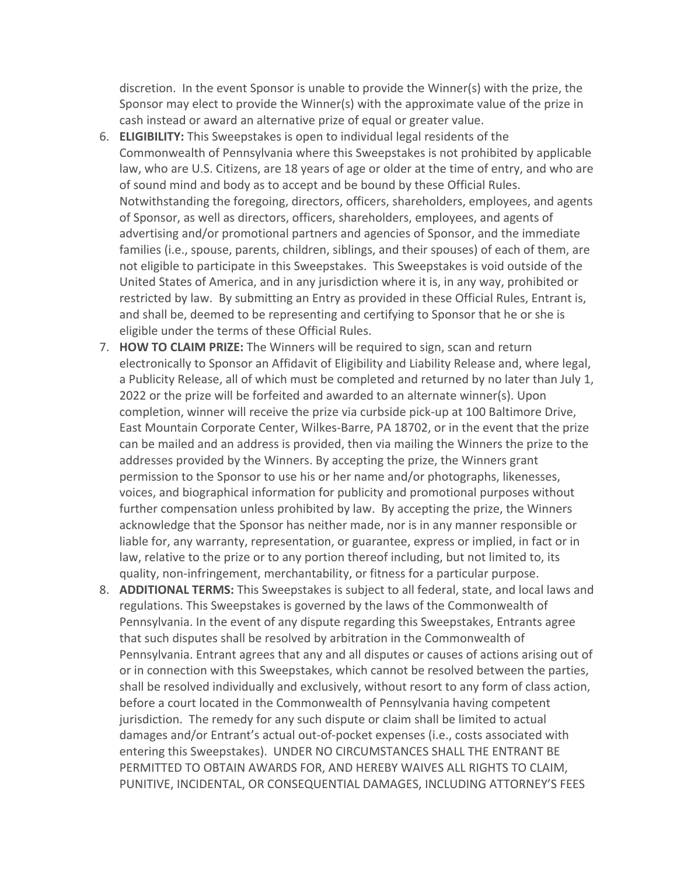discretion. In the event Sponsor is unable to provide the Winner(s) with the prize, the Sponsor may elect to provide the Winner(s) with the approximate value of the prize in cash instead or award an alternative prize of equal or greater value.

- 6. **ELIGIBILITY:** This Sweepstakes is open to individual legal residents of the Commonwealth of Pennsylvania where this Sweepstakes is not prohibited by applicable law, who are U.S. Citizens, are 18 years of age or older at the time of entry, and who are of sound mind and body as to accept and be bound by these Official Rules. Notwithstanding the foregoing, directors, officers, shareholders, employees, and agents of Sponsor, as well as directors, officers, shareholders, employees, and agents of advertising and/or promotional partners and agencies of Sponsor, and the immediate families (i.e., spouse, parents, children, siblings, and their spouses) of each of them, are not eligible to participate in this Sweepstakes. This Sweepstakes is void outside of the United States of America, and in any jurisdiction where it is, in any way, prohibited or restricted by law. By submitting an Entry as provided in these Official Rules, Entrant is, and shall be, deemed to be representing and certifying to Sponsor that he or she is eligible under the terms of these Official Rules.
- 7. **HOW TO CLAIM PRIZE:** The Winners will be required to sign, scan and return electronically to Sponsor an Affidavit of Eligibility and Liability Release and, where legal, a Publicity Release, all of which must be completed and returned by no later than July 1, 2022 or the prize will be forfeited and awarded to an alternate winner(s). Upon completion, winner will receive the prize via curbside pick-up at 100 Baltimore Drive, East Mountain Corporate Center, Wilkes-Barre, PA 18702, or in the event that the prize can be mailed and an address is provided, then via mailing the Winners the prize to the addresses provided by the Winners. By accepting the prize, the Winners grant permission to the Sponsor to use his or her name and/or photographs, likenesses, voices, and biographical information for publicity and promotional purposes without further compensation unless prohibited by law. By accepting the prize, the Winners acknowledge that the Sponsor has neither made, nor is in any manner responsible or liable for, any warranty, representation, or guarantee, express or implied, in fact or in law, relative to the prize or to any portion thereof including, but not limited to, its quality, non-infringement, merchantability, or fitness for a particular purpose.
- 8. **ADDITIONAL TERMS:** This Sweepstakes is subject to all federal, state, and local laws and regulations. This Sweepstakes is governed by the laws of the Commonwealth of Pennsylvania. In the event of any dispute regarding this Sweepstakes, Entrants agree that such disputes shall be resolved by arbitration in the Commonwealth of Pennsylvania. Entrant agrees that any and all disputes or causes of actions arising out of or in connection with this Sweepstakes, which cannot be resolved between the parties, shall be resolved individually and exclusively, without resort to any form of class action, before a court located in the Commonwealth of Pennsylvania having competent jurisdiction. The remedy for any such dispute or claim shall be limited to actual damages and/or Entrant's actual out-of-pocket expenses (i.e., costs associated with entering this Sweepstakes). UNDER NO CIRCUMSTANCES SHALL THE ENTRANT BE PERMITTED TO OBTAIN AWARDS FOR, AND HEREBY WAIVES ALL RIGHTS TO CLAIM, PUNITIVE, INCIDENTAL, OR CONSEQUENTIAL DAMAGES, INCLUDING ATTORNEY'S FEES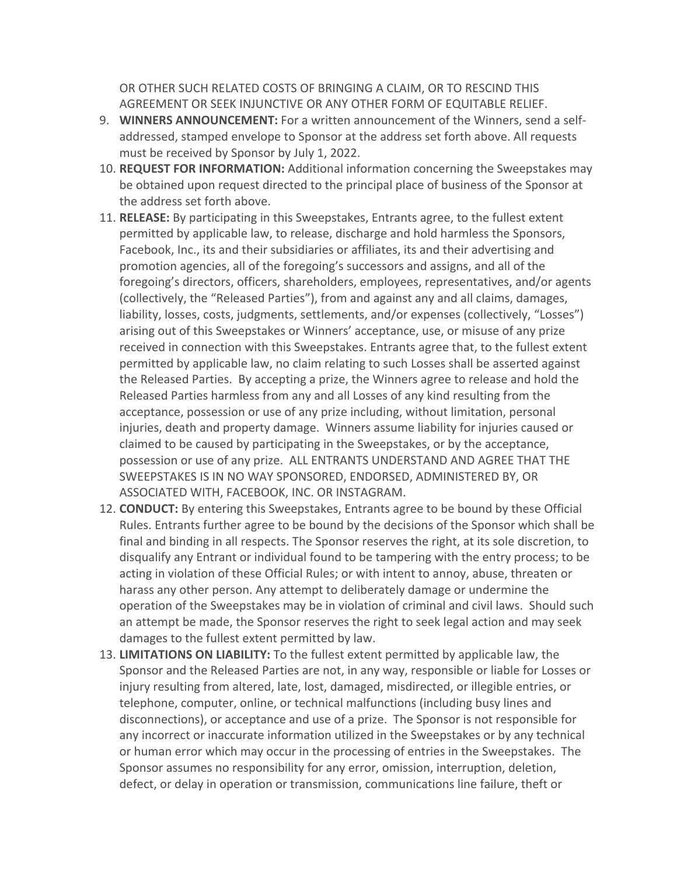OR OTHER SUCH RELATED COSTS OF BRINGING A CLAIM, OR TO RESCIND THIS AGREEMENT OR SEEK INJUNCTIVE OR ANY OTHER FORM OF EQUITABLE RELIEF.

- 9. **WINNERS ANNOUNCEMENT:** For a written announcement of the Winners, send a selfaddressed, stamped envelope to Sponsor at the address set forth above. All requests must be received by Sponsor by July 1, 2022.
- 10. **REQUEST FOR INFORMATION:** Additional information concerning the Sweepstakes may be obtained upon request directed to the principal place of business of the Sponsor at the address set forth above.
- 11. **RELEASE:** By participating in this Sweepstakes, Entrants agree, to the fullest extent permitted by applicable law, to release, discharge and hold harmless the Sponsors, Facebook, Inc., its and their subsidiaries or affiliates, its and their advertising and promotion agencies, all of the foregoing's successors and assigns, and all of the foregoing's directors, officers, shareholders, employees, representatives, and/or agents (collectively, the "Released Parties"), from and against any and all claims, damages, liability, losses, costs, judgments, settlements, and/or expenses (collectively, "Losses") arising out of this Sweepstakes or Winners' acceptance, use, or misuse of any prize received in connection with this Sweepstakes. Entrants agree that, to the fullest extent permitted by applicable law, no claim relating to such Losses shall be asserted against the Released Parties. By accepting a prize, the Winners agree to release and hold the Released Parties harmless from any and all Losses of any kind resulting from the acceptance, possession or use of any prize including, without limitation, personal injuries, death and property damage. Winners assume liability for injuries caused or claimed to be caused by participating in the Sweepstakes, or by the acceptance, possession or use of any prize. ALL ENTRANTS UNDERSTAND AND AGREE THAT THE SWEEPSTAKES IS IN NO WAY SPONSORED, ENDORSED, ADMINISTERED BY, OR ASSOCIATED WITH, FACEBOOK, INC. OR INSTAGRAM.
- 12. **CONDUCT:** By entering this Sweepstakes, Entrants agree to be bound by these Official Rules. Entrants further agree to be bound by the decisions of the Sponsor which shall be final and binding in all respects. The Sponsor reserves the right, at its sole discretion, to disqualify any Entrant or individual found to be tampering with the entry process; to be acting in violation of these Official Rules; or with intent to annoy, abuse, threaten or harass any other person. Any attempt to deliberately damage or undermine the operation of the Sweepstakes may be in violation of criminal and civil laws. Should such an attempt be made, the Sponsor reserves the right to seek legal action and may seek damages to the fullest extent permitted by law.
- 13. **LIMITATIONS ON LIABILITY:** To the fullest extent permitted by applicable law, the Sponsor and the Released Parties are not, in any way, responsible or liable for Losses or injury resulting from altered, late, lost, damaged, misdirected, or illegible entries, or telephone, computer, online, or technical malfunctions (including busy lines and disconnections), or acceptance and use of a prize. The Sponsor is not responsible for any incorrect or inaccurate information utilized in the Sweepstakes or by any technical or human error which may occur in the processing of entries in the Sweepstakes. The Sponsor assumes no responsibility for any error, omission, interruption, deletion, defect, or delay in operation or transmission, communications line failure, theft or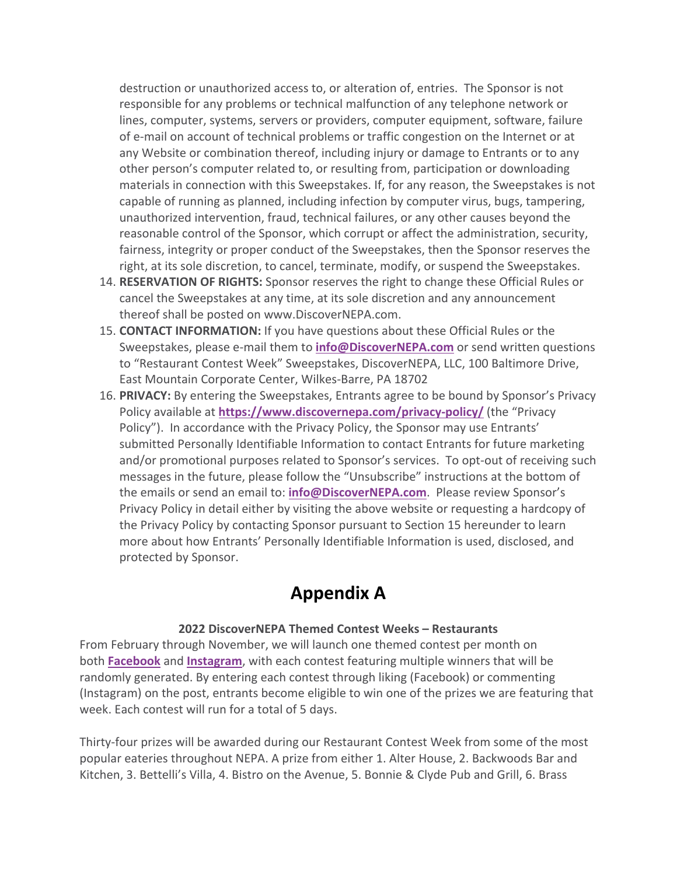destruction or unauthorized access to, or alteration of, entries. The Sponsor is not responsible for any problems or technical malfunction of any telephone network or lines, computer, systems, servers or providers, computer equipment, software, failure of e-mail on account of technical problems or traffic congestion on the Internet or at any Website or combination thereof, including injury or damage to Entrants or to any other person's computer related to, or resulting from, participation or downloading materials in connection with this Sweepstakes. If, for any reason, the Sweepstakes is not capable of running as planned, including infection by computer virus, bugs, tampering, unauthorized intervention, fraud, technical failures, or any other causes beyond the reasonable control of the Sponsor, which corrupt or affect the administration, security, fairness, integrity or proper conduct of the Sweepstakes, then the Sponsor reserves the right, at its sole discretion, to cancel, terminate, modify, or suspend the Sweepstakes.

- 14. **RESERVATION OF RIGHTS:** Sponsor reserves the right to change these Official Rules or cancel the Sweepstakes at any time, at its sole discretion and any announcement thereof shall be posted on www.DiscoverNEPA.com.
- 15. **CONTACT INFORMATION:** If you have questions about these Official Rules or the Sweepstakes, please e-mail them to **info@DiscoverNEPA.com** or send written questions to "Restaurant Contest Week" Sweepstakes, DiscoverNEPA, LLC, 100 Baltimore Drive, East Mountain Corporate Center, Wilkes-Barre, PA 18702
- 16. **PRIVACY:** By entering the Sweepstakes, Entrants agree to be bound by Sponsor's Privacy Policy available at **https://www.discovernepa.com/privacy-policy/** (the "Privacy Policy"). In accordance with the Privacy Policy, the Sponsor may use Entrants' submitted Personally Identifiable Information to contact Entrants for future marketing and/or promotional purposes related to Sponsor's services. To opt-out of receiving such messages in the future, please follow the "Unsubscribe" instructions at the bottom of the emails or send an email to: **info@DiscoverNEPA.com**. Please review Sponsor's Privacy Policy in detail either by visiting the above website or requesting a hardcopy of the Privacy Policy by contacting Sponsor pursuant to Section 15 hereunder to learn more about how Entrants' Personally Identifiable Information is used, disclosed, and protected by Sponsor.

## **Appendix A**

#### **2022 DiscoverNEPA Themed Contest Weeks – Restaurants**

From February through November, we will launch one themed contest per month on both **Facebook** and **Instagram**, with each contest featuring multiple winners that will be randomly generated. By entering each contest through liking (Facebook) or commenting (Instagram) on the post, entrants become eligible to win one of the prizes we are featuring that week. Each contest will run for a total of 5 days.

Thirty-four prizes will be awarded during our Restaurant Contest Week from some of the most popular eateries throughout NEPA. A prize from either 1. Alter House, 2. Backwoods Bar and Kitchen, 3. Bettelli's Villa, 4. Bistro on the Avenue, 5. Bonnie & Clyde Pub and Grill, 6. Brass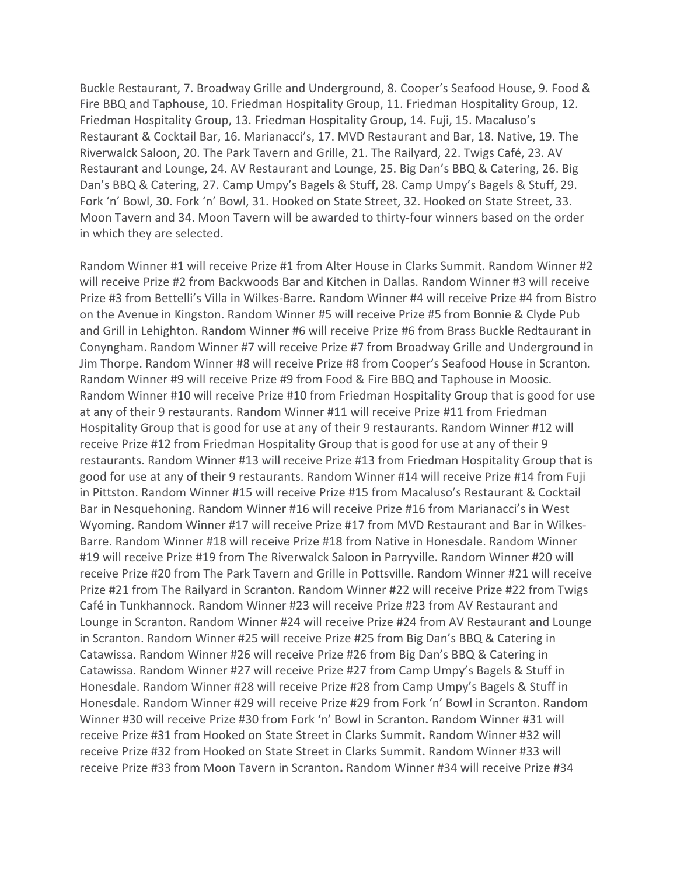Buckle Restaurant, 7. Broadway Grille and Underground, 8. Cooper's Seafood House, 9. Food & Fire BBQ and Taphouse, 10. Friedman Hospitality Group, 11. Friedman Hospitality Group, 12. Friedman Hospitality Group, 13. Friedman Hospitality Group, 14. Fuji, 15. Macaluso's Restaurant & Cocktail Bar, 16. Marianacci's, 17. MVD Restaurant and Bar, 18. Native, 19. The Riverwalck Saloon, 20. The Park Tavern and Grille, 21. The Railyard, 22. Twigs Café, 23. AV Restaurant and Lounge, 24. AV Restaurant and Lounge, 25. Big Dan's BBQ & Catering, 26. Big Dan's BBQ & Catering, 27. Camp Umpy's Bagels & Stuff, 28. Camp Umpy's Bagels & Stuff, 29. Fork 'n' Bowl, 30. Fork 'n' Bowl, 31. Hooked on State Street, 32. Hooked on State Street, 33. Moon Tavern and 34. Moon Tavern will be awarded to thirty-four winners based on the order in which they are selected.

Random Winner #1 will receive Prize #1 from Alter House in Clarks Summit. Random Winner #2 will receive Prize #2 from Backwoods Bar and Kitchen in Dallas. Random Winner #3 will receive Prize #3 from Bettelli's Villa in Wilkes-Barre. Random Winner #4 will receive Prize #4 from Bistro on the Avenue in Kingston. Random Winner #5 will receive Prize #5 from Bonnie & Clyde Pub and Grill in Lehighton. Random Winner #6 will receive Prize #6 from Brass Buckle Redtaurant in Conyngham. Random Winner #7 will receive Prize #7 from Broadway Grille and Underground in Jim Thorpe. Random Winner #8 will receive Prize #8 from Cooper's Seafood House in Scranton. Random Winner #9 will receive Prize #9 from Food & Fire BBQ and Taphouse in Moosic. Random Winner #10 will receive Prize #10 from Friedman Hospitality Group that is good for use at any of their 9 restaurants. Random Winner #11 will receive Prize #11 from Friedman Hospitality Group that is good for use at any of their 9 restaurants. Random Winner #12 will receive Prize #12 from Friedman Hospitality Group that is good for use at any of their 9 restaurants. Random Winner #13 will receive Prize #13 from Friedman Hospitality Group that is good for use at any of their 9 restaurants. Random Winner #14 will receive Prize #14 from Fuji in Pittston. Random Winner #15 will receive Prize #15 from Macaluso's Restaurant & Cocktail Bar in Nesquehoning. Random Winner #16 will receive Prize #16 from Marianacci's in West Wyoming. Random Winner #17 will receive Prize #17 from MVD Restaurant and Bar in Wilkes-Barre. Random Winner #18 will receive Prize #18 from Native in Honesdale. Random Winner #19 will receive Prize #19 from The Riverwalck Saloon in Parryville. Random Winner #20 will receive Prize #20 from The Park Tavern and Grille in Pottsville. Random Winner #21 will receive Prize #21 from The Railyard in Scranton. Random Winner #22 will receive Prize #22 from Twigs Café in Tunkhannock. Random Winner #23 will receive Prize #23 from AV Restaurant and Lounge in Scranton. Random Winner #24 will receive Prize #24 from AV Restaurant and Lounge in Scranton. Random Winner #25 will receive Prize #25 from Big Dan's BBQ & Catering in Catawissa. Random Winner #26 will receive Prize #26 from Big Dan's BBQ & Catering in Catawissa. Random Winner #27 will receive Prize #27 from Camp Umpy's Bagels & Stuff in Honesdale. Random Winner #28 will receive Prize #28 from Camp Umpy's Bagels & Stuff in Honesdale. Random Winner #29 will receive Prize #29 from Fork 'n' Bowl in Scranton. Random Winner #30 will receive Prize #30 from Fork 'n' Bowl in Scranton**.** Random Winner #31 will receive Prize #31 from Hooked on State Street in Clarks Summit**.** Random Winner #32 will receive Prize #32 from Hooked on State Street in Clarks Summit**.** Random Winner #33 will receive Prize #33 from Moon Tavern in Scranton**.** Random Winner #34 will receive Prize #34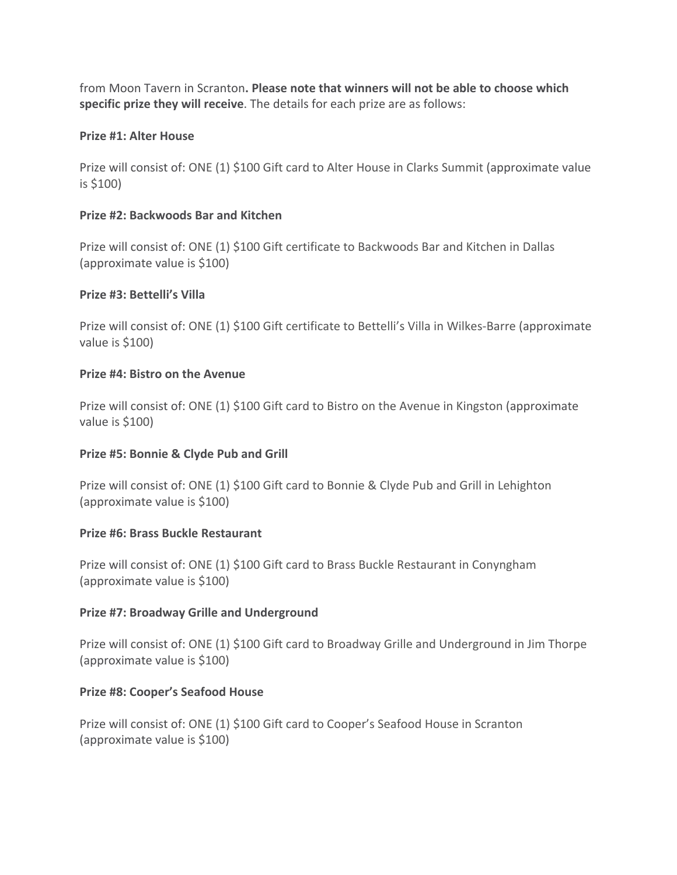from Moon Tavern in Scranton**. Please note that winners will not be able to choose which specific prize they will receive**. The details for each prize are as follows:

#### **Prize #1: Alter House**

Prize will consist of: ONE (1) \$100 Gift card to Alter House in Clarks Summit (approximate value is \$100)

#### **Prize #2: Backwoods Bar and Kitchen**

Prize will consist of: ONE (1) \$100 Gift certificate to Backwoods Bar and Kitchen in Dallas (approximate value is \$100)

#### **Prize #3: Bettelli's Villa**

Prize will consist of: ONE (1) \$100 Gift certificate to Bettelli's Villa in Wilkes-Barre (approximate value is \$100)

#### **Prize #4: Bistro on the Avenue**

Prize will consist of: ONE (1) \$100 Gift card to Bistro on the Avenue in Kingston (approximate value is \$100)

#### **Prize #5: Bonnie & Clyde Pub and Grill**

Prize will consist of: ONE (1) \$100 Gift card to Bonnie & Clyde Pub and Grill in Lehighton (approximate value is \$100)

#### **Prize #6: Brass Buckle Restaurant**

Prize will consist of: ONE (1) \$100 Gift card to Brass Buckle Restaurant in Conyngham (approximate value is \$100)

#### **Prize #7: Broadway Grille and Underground**

Prize will consist of: ONE (1) \$100 Gift card to Broadway Grille and Underground in Jim Thorpe (approximate value is \$100)

#### **Prize #8: Cooper's Seafood House**

Prize will consist of: ONE (1) \$100 Gift card to Cooper's Seafood House in Scranton (approximate value is \$100)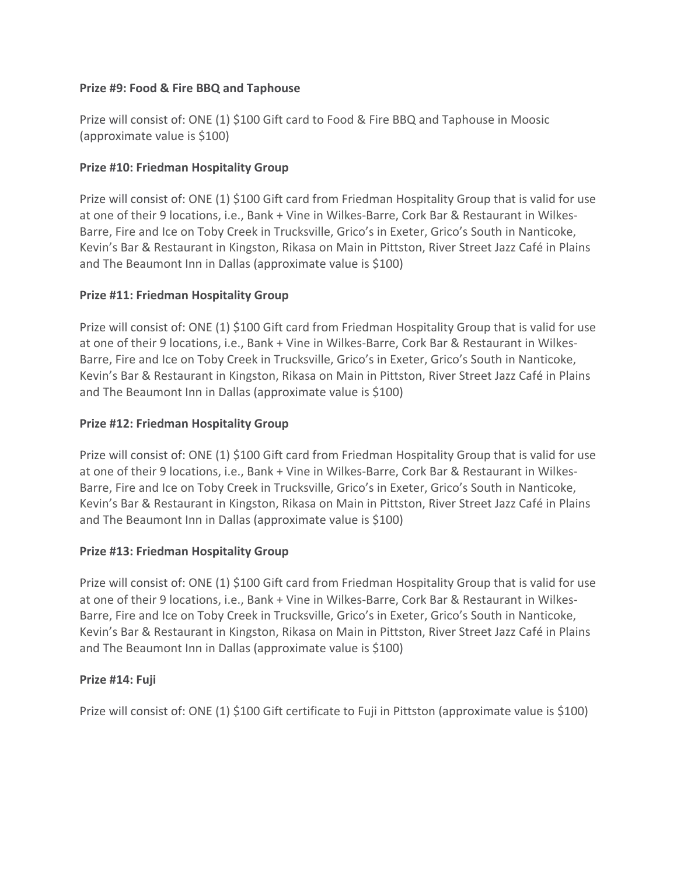#### **Prize #9: Food & Fire BBQ and Taphouse**

Prize will consist of: ONE (1) \$100 Gift card to Food & Fire BBQ and Taphouse in Moosic (approximate value is \$100)

#### **Prize #10: Friedman Hospitality Group**

Prize will consist of: ONE (1) \$100 Gift card from Friedman Hospitality Group that is valid for use at one of their 9 locations, i.e., Bank + Vine in Wilkes-Barre, Cork Bar & Restaurant in Wilkes-Barre, Fire and Ice on Toby Creek in Trucksville, Grico's in Exeter, Grico's South in Nanticoke, Kevin's Bar & Restaurant in Kingston, Rikasa on Main in Pittston, River Street Jazz Café in Plains and The Beaumont Inn in Dallas (approximate value is \$100)

#### **Prize #11: Friedman Hospitality Group**

Prize will consist of: ONE (1) \$100 Gift card from Friedman Hospitality Group that is valid for use at one of their 9 locations, i.e., Bank + Vine in Wilkes-Barre, Cork Bar & Restaurant in Wilkes-Barre, Fire and Ice on Toby Creek in Trucksville, Grico's in Exeter, Grico's South in Nanticoke, Kevin's Bar & Restaurant in Kingston, Rikasa on Main in Pittston, River Street Jazz Café in Plains and The Beaumont Inn in Dallas (approximate value is \$100)

#### **Prize #12: Friedman Hospitality Group**

Prize will consist of: ONE (1) \$100 Gift card from Friedman Hospitality Group that is valid for use at one of their 9 locations, i.e., Bank + Vine in Wilkes-Barre, Cork Bar & Restaurant in Wilkes-Barre, Fire and Ice on Toby Creek in Trucksville, Grico's in Exeter, Grico's South in Nanticoke, Kevin's Bar & Restaurant in Kingston, Rikasa on Main in Pittston, River Street Jazz Café in Plains and The Beaumont Inn in Dallas (approximate value is \$100)

#### **Prize #13: Friedman Hospitality Group**

Prize will consist of: ONE (1) \$100 Gift card from Friedman Hospitality Group that is valid for use at one of their 9 locations, i.e., Bank + Vine in Wilkes-Barre, Cork Bar & Restaurant in Wilkes-Barre, Fire and Ice on Toby Creek in Trucksville, Grico's in Exeter, Grico's South in Nanticoke, Kevin's Bar & Restaurant in Kingston, Rikasa on Main in Pittston, River Street Jazz Café in Plains and The Beaumont Inn in Dallas (approximate value is \$100)

#### **Prize #14: Fuji**

Prize will consist of: ONE (1) \$100 Gift certificate to Fuji in Pittston (approximate value is \$100)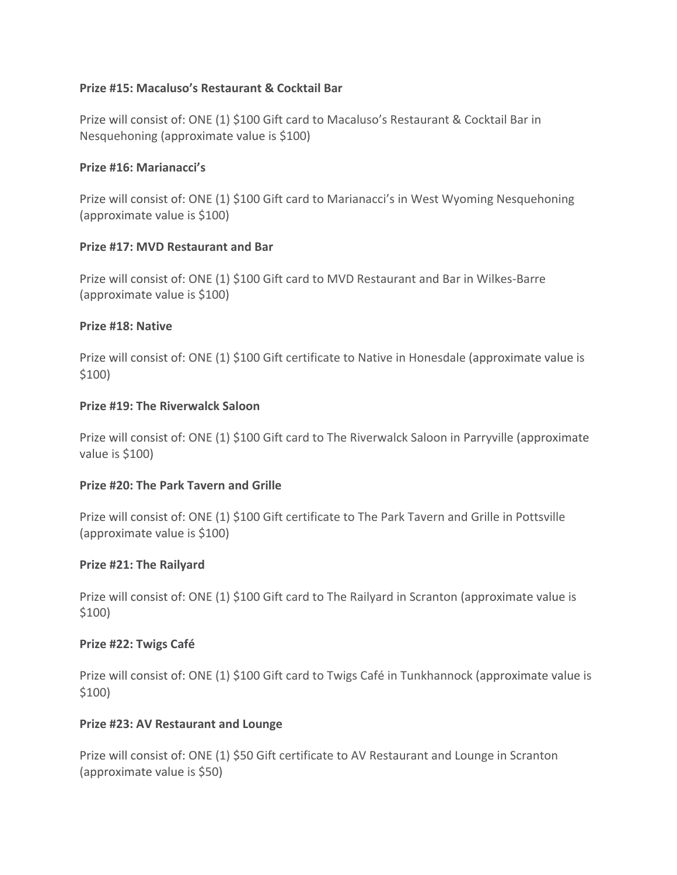#### **Prize #15: Macaluso's Restaurant & Cocktail Bar**

Prize will consist of: ONE (1) \$100 Gift card to Macaluso's Restaurant & Cocktail Bar in Nesquehoning (approximate value is \$100)

#### **Prize #16: Marianacci's**

Prize will consist of: ONE (1) \$100 Gift card to Marianacci's in West Wyoming Nesquehoning (approximate value is \$100)

#### **Prize #17: MVD Restaurant and Bar**

Prize will consist of: ONE (1) \$100 Gift card to MVD Restaurant and Bar in Wilkes-Barre (approximate value is \$100)

#### **Prize #18: Native**

Prize will consist of: ONE (1) \$100 Gift certificate to Native in Honesdale (approximate value is \$100)

#### **Prize #19: The Riverwalck Saloon**

Prize will consist of: ONE (1) \$100 Gift card to The Riverwalck Saloon in Parryville (approximate value is \$100)

#### **Prize #20: The Park Tavern and Grille**

Prize will consist of: ONE (1) \$100 Gift certificate to The Park Tavern and Grille in Pottsville (approximate value is \$100)

#### **Prize #21: The Railyard**

Prize will consist of: ONE (1) \$100 Gift card to The Railyard in Scranton (approximate value is \$100)

#### **Prize #22: Twigs Café**

Prize will consist of: ONE (1) \$100 Gift card to Twigs Café in Tunkhannock (approximate value is \$100)

#### **Prize #23: AV Restaurant and Lounge**

Prize will consist of: ONE (1) \$50 Gift certificate to AV Restaurant and Lounge in Scranton (approximate value is \$50)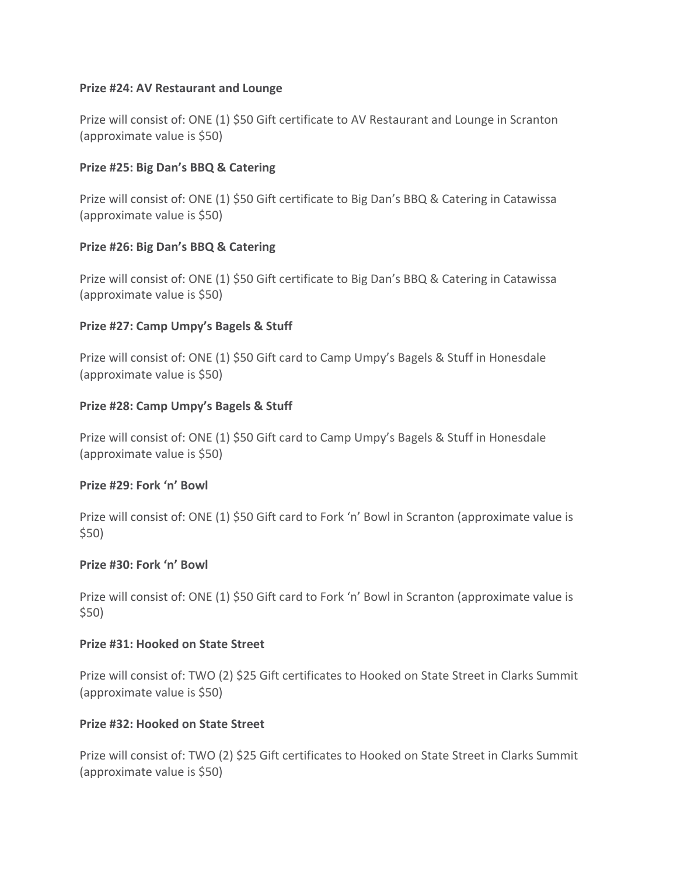#### **Prize #24: AV Restaurant and Lounge**

Prize will consist of: ONE (1) \$50 Gift certificate to AV Restaurant and Lounge in Scranton (approximate value is \$50)

#### **Prize #25: Big Dan's BBQ & Catering**

Prize will consist of: ONE (1) \$50 Gift certificate to Big Dan's BBQ & Catering in Catawissa (approximate value is \$50)

#### **Prize #26: Big Dan's BBQ & Catering**

Prize will consist of: ONE (1) \$50 Gift certificate to Big Dan's BBQ & Catering in Catawissa (approximate value is \$50)

#### **Prize #27: Camp Umpy's Bagels & Stuff**

Prize will consist of: ONE (1) \$50 Gift card to Camp Umpy's Bagels & Stuff in Honesdale (approximate value is \$50)

#### **Prize #28: Camp Umpy's Bagels & Stuff**

Prize will consist of: ONE (1) \$50 Gift card to Camp Umpy's Bagels & Stuff in Honesdale (approximate value is \$50)

#### **Prize #29: Fork 'n' Bowl**

Prize will consist of: ONE (1) \$50 Gift card to Fork 'n' Bowl in Scranton (approximate value is \$50)

#### **Prize #30: Fork 'n' Bowl**

Prize will consist of: ONE (1) \$50 Gift card to Fork 'n' Bowl in Scranton (approximate value is \$50)

#### **Prize #31: Hooked on State Street**

Prize will consist of: TWO (2) \$25 Gift certificates to Hooked on State Street in Clarks Summit (approximate value is \$50)

#### **Prize #32: Hooked on State Street**

Prize will consist of: TWO (2) \$25 Gift certificates to Hooked on State Street in Clarks Summit (approximate value is \$50)